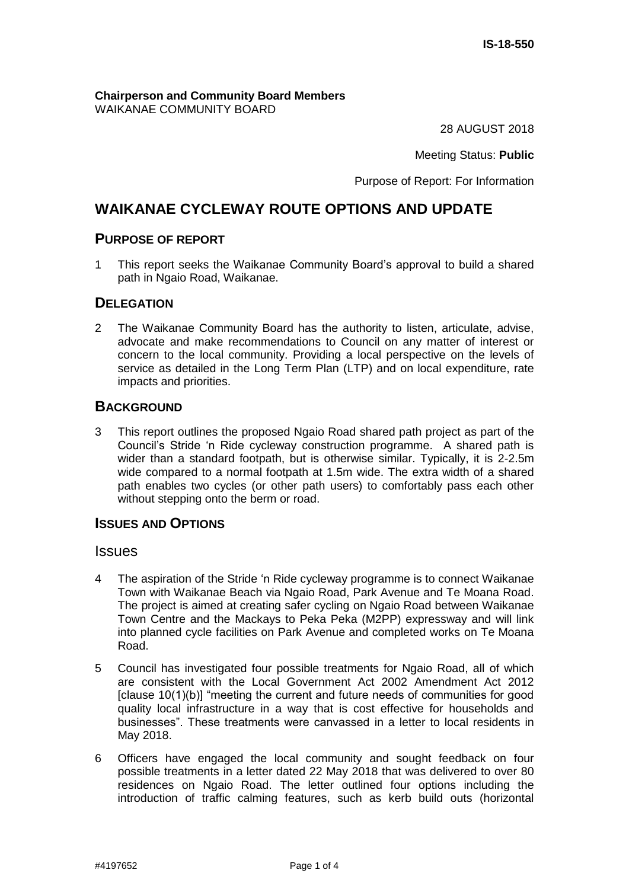**Chairperson and Community Board Members** WAIKANAE COMMUNITY BOARD

28 AUGUST 2018

Meeting Status: **Public**

Purpose of Report: For Information

## **WAIKANAE CYCLEWAY ROUTE OPTIONS AND UPDATE**

#### **PURPOSE OF REPORT**

1 This report seeks the Waikanae Community Board's approval to build a shared path in Ngaio Road, Waikanae.

## **DELEGATION**

2 The Waikanae Community Board has the authority to listen, articulate, advise, advocate and make recommendations to Council on any matter of interest or concern to the local community. Providing a local perspective on the levels of service as detailed in the Long Term Plan (LTP) and on local expenditure, rate impacts and priorities.

## **BACKGROUND**

3 This report outlines the proposed Ngaio Road shared path project as part of the Council's Stride 'n Ride cycleway construction programme. A shared path is wider than a standard footpath, but is otherwise similar. Typically, it is 2-2.5m wide compared to a normal footpath at 1.5m wide. The extra width of a shared path enables two cycles (or other path users) to comfortably pass each other without stepping onto the berm or road.

## **ISSUES AND OPTIONS**

#### Issues

- 4 The aspiration of the Stride 'n Ride cycleway programme is to connect Waikanae Town with Waikanae Beach via Ngaio Road, Park Avenue and Te Moana Road. The project is aimed at creating safer cycling on Ngaio Road between Waikanae Town Centre and the Mackays to Peka Peka (M2PP) expressway and will link into planned cycle facilities on Park Avenue and completed works on Te Moana Road.
- 5 Council has investigated four possible treatments for Ngaio Road, all of which are consistent with the Local Government Act 2002 Amendment Act 2012 [clause 10(1)(b)] "meeting the current and future needs of communities for good quality local infrastructure in a way that is cost effective for households and businesses". These treatments were canvassed in a letter to local residents in May 2018.
- 6 Officers have engaged the local community and sought feedback on four possible treatments in a letter dated 22 May 2018 that was delivered to over 80 residences on Ngaio Road. The letter outlined four options including the introduction of traffic calming features, such as kerb build outs (horizontal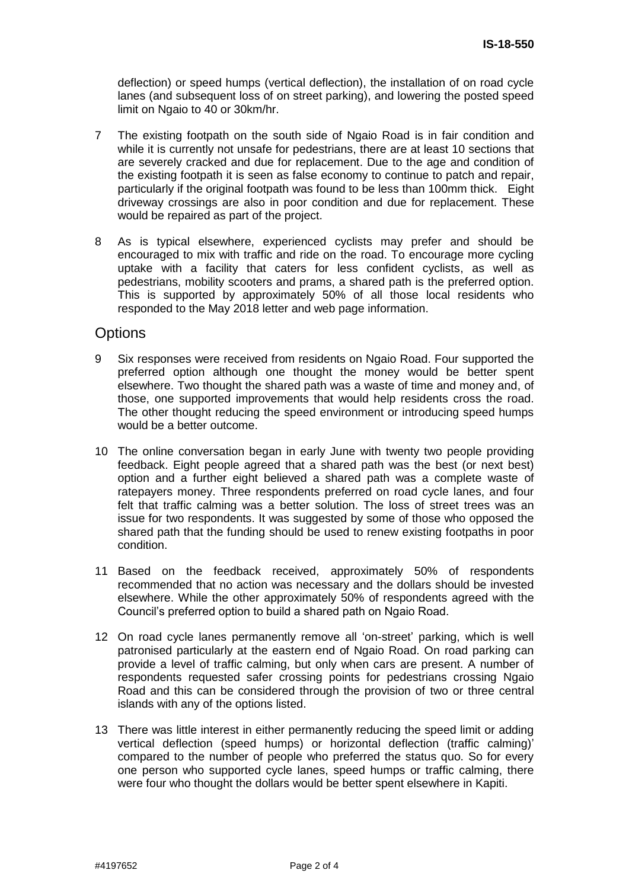deflection) or speed humps (vertical deflection), the installation of on road cycle lanes (and subsequent loss of on street parking), and lowering the posted speed limit on Ngaio to 40 or 30km/hr.

- 7 The existing footpath on the south side of Ngaio Road is in fair condition and while it is currently not unsafe for pedestrians, there are at least 10 sections that are severely cracked and due for replacement. Due to the age and condition of the existing footpath it is seen as false economy to continue to patch and repair, particularly if the original footpath was found to be less than 100mm thick. Eight driveway crossings are also in poor condition and due for replacement. These would be repaired as part of the project.
- 8 As is typical elsewhere, experienced cyclists may prefer and should be encouraged to mix with traffic and ride on the road. To encourage more cycling uptake with a facility that caters for less confident cyclists, as well as pedestrians, mobility scooters and prams, a shared path is the preferred option. This is supported by approximately 50% of all those local residents who responded to the May 2018 letter and web page information.

## **Options**

- 9 Six responses were received from residents on Ngaio Road. Four supported the preferred option although one thought the money would be better spent elsewhere. Two thought the shared path was a waste of time and money and, of those, one supported improvements that would help residents cross the road. The other thought reducing the speed environment or introducing speed humps would be a better outcome.
- 10 The online conversation began in early June with twenty two people providing feedback. Eight people agreed that a shared path was the best (or next best) option and a further eight believed a shared path was a complete waste of ratepayers money. Three respondents preferred on road cycle lanes, and four felt that traffic calming was a better solution. The loss of street trees was an issue for two respondents. It was suggested by some of those who opposed the shared path that the funding should be used to renew existing footpaths in poor condition.
- 11 Based on the feedback received, approximately 50% of respondents recommended that no action was necessary and the dollars should be invested elsewhere. While the other approximately 50% of respondents agreed with the Council's preferred option to build a shared path on Ngaio Road.
- 12 On road cycle lanes permanently remove all 'on-street' parking, which is well patronised particularly at the eastern end of Ngaio Road. On road parking can provide a level of traffic calming, but only when cars are present. A number of respondents requested safer crossing points for pedestrians crossing Ngaio Road and this can be considered through the provision of two or three central islands with any of the options listed.
- 13 There was little interest in either permanently reducing the speed limit or adding vertical deflection (speed humps) or horizontal deflection (traffic calming)' compared to the number of people who preferred the status quo. So for every one person who supported cycle lanes, speed humps or traffic calming, there were four who thought the dollars would be better spent elsewhere in Kapiti.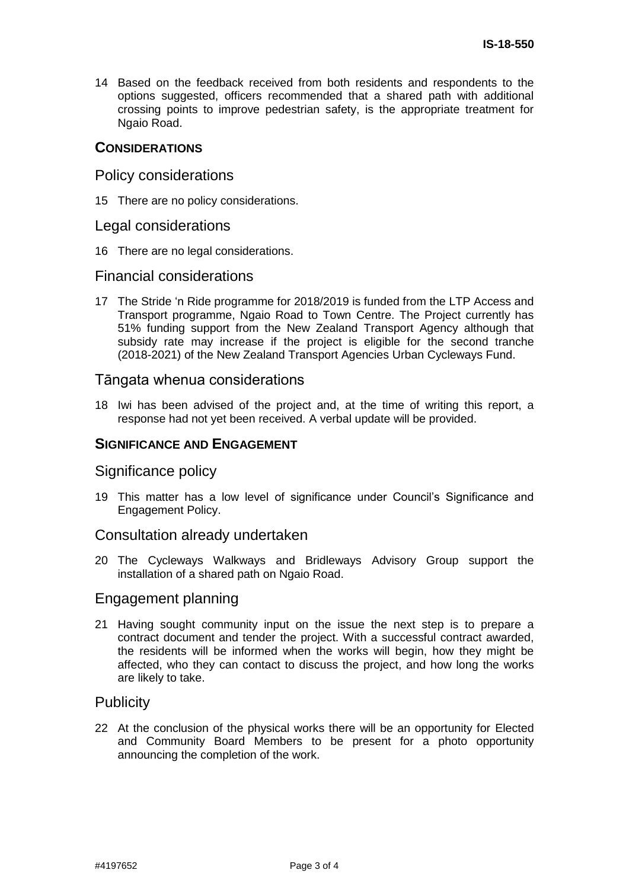14 Based on the feedback received from both residents and respondents to the options suggested, officers recommended that a shared path with additional crossing points to improve pedestrian safety, is the appropriate treatment for Ngaio Road.

## **CONSIDERATIONS**

## Policy considerations

15 There are no policy considerations.

#### Legal considerations

16 There are no legal considerations.

## Financial considerations

17 The Stride 'n Ride programme for 2018/2019 is funded from the LTP Access and Transport programme, Ngaio Road to Town Centre. The Project currently has 51% funding support from the New Zealand Transport Agency although that subsidy rate may increase if the project is eligible for the second tranche (2018-2021) of the New Zealand Transport Agencies Urban Cycleways Fund.

## Tāngata whenua considerations

18 Iwi has been advised of the project and, at the time of writing this report, a response had not yet been received. A verbal update will be provided.

## **SIGNIFICANCE AND ENGAGEMENT**

#### Significance policy

19 This matter has a low level of significance under Council's Significance and Engagement Policy.

#### Consultation already undertaken

20 The Cycleways Walkways and Bridleways Advisory Group support the installation of a shared path on Ngaio Road.

#### Engagement planning

21 Having sought community input on the issue the next step is to prepare a contract document and tender the project. With a successful contract awarded, the residents will be informed when the works will begin, how they might be affected, who they can contact to discuss the project, and how long the works are likely to take.

## **Publicity**

22 At the conclusion of the physical works there will be an opportunity for Elected and Community Board Members to be present for a photo opportunity announcing the completion of the work.